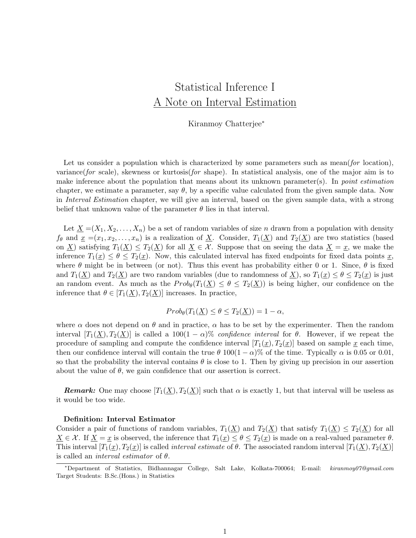# Statistical Inference I A Note on Interval Estimation

Kiranmoy Chatterjee<sup>∗</sup>

Let us consider a population which is characterized by some parameters such as mean(for location), variance(for scale), skewness or kurtosis(for shape). In statistical analysis, one of the major aim is to make inference about the population that means about its unknown parameter(s). In *point estimation* chapter, we estimate a parameter, say  $\theta$ , by a specific value calculated from the given sample data. Now in Interval Estimation chapter, we will give an interval, based on the given sample data, with a strong belief that unknown value of the parameter  $\theta$  lies in that interval.

Let  $X = (X_1, X_2, \ldots, X_n)$  be a set of random variables of size n drawn from a population with density  $f_{\theta}$  and  $\underline{x} = (x_1, x_2, \ldots, x_n)$  is a realization of  $\underline{X}$ . Consider,  $T_1(\underline{X})$  and  $T_2(\underline{X})$  are two statistics (based on <u>X</u>) satisfying  $T_1(\underline{X}) \leq T_2(\underline{X})$  for all  $\underline{X} \in \mathcal{X}$ . Suppose that on seeing the data  $\underline{X} = \underline{x}$ , we make the inference  $T_1(x) \leq \theta \leq T_2(x)$ . Now, this calculated interval has fixed endpoints for fixed data points x, where  $\theta$  might be in between (or not). Thus this event has probability either 0 or 1. Since,  $\theta$  is fixed and  $T_1(\underline{X})$  and  $T_2(\underline{X})$  are two random variables (due to randomness of  $\underline{X}$ ), so  $T_1(\underline{x}) \leq \theta \leq T_2(\underline{x})$  is just an random event. As much as the  $Prob_{\theta}(T_1(\underline{X}) \leq \theta \leq T_2(\underline{X}))$  is being higher, our confidence on the inference that  $\theta \in [T_1(\underline{X}), T_2(\underline{X})]$  increases. In practice,

## $Prob_{\theta}(T_1(\underline{X}) \leq \theta \leq T_2(\underline{X})) = 1 - \alpha,$

where  $\alpha$  does not depend on  $\theta$  and in practice,  $\alpha$  has to be set by the experimenter. Then the random interval  $[T_1(\underline{X}), T_2(\underline{X})]$  is called a 100(1 –  $\alpha$ )% confidence interval for  $\theta$ . However, if we repeat the procedure of sampling and compute the confidence interval  $[T_1(x), T_2(x)]$  based on sample x each time, then our confidence interval will contain the true  $\theta$  100(1 –  $\alpha$ )% of the time. Typically  $\alpha$  is 0.05 or 0.01, so that the probability the interval contains  $\theta$  is close to 1. Then by giving up precision in our assertion about the value of  $\theta$ , we gain confidence that our assertion is correct.

**Remark:** One may choose  $[T_1(\underline{X}), T_2(\underline{X})]$  such that  $\alpha$  is exactly 1, but that interval will be useless as it would be too wide.

#### Definition: Interval Estimator

Consider a pair of functions of random variables,  $T_1(\underline{X})$  and  $T_2(\underline{X})$  that satisfy  $T_1(\underline{X}) \leq T_2(\underline{X})$  for all  $X \in \mathcal{X}$ . If  $X = x$  is observed, the inference that  $T_1(x) \leq \theta \leq T_2(x)$  is made on a real-valued parameter  $\theta$ . This interval  $[T_1(\underline{x}), T_2(\underline{x})]$  is called *interval estimate* of  $\theta$ . The associated random interval  $[T_1(\underline{X}), T_2(\underline{X})]$ is called an *interval estimator* of  $\theta$ .

<sup>∗</sup>Department of Statistics, Bidhannagar College, Salt Lake, Kolkata-700064; E-mail: kiranmoy07@gmail.com Target Students: B.Sc.(Hons.) in Statistics